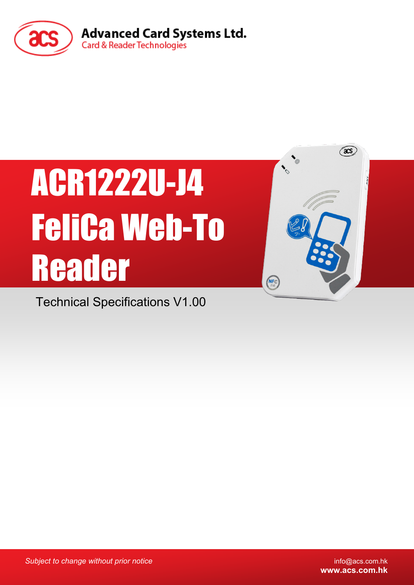

# ACR1222U-J4 FeliCa Web-To Reader

Technical Specifications V1.00



 $\widehat{a}$ s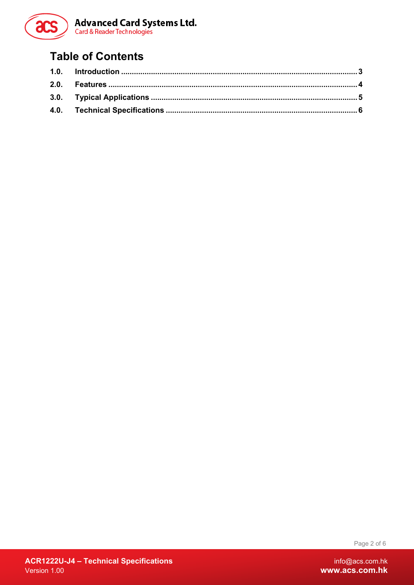

## **Table of Contents**

Page 2 of 6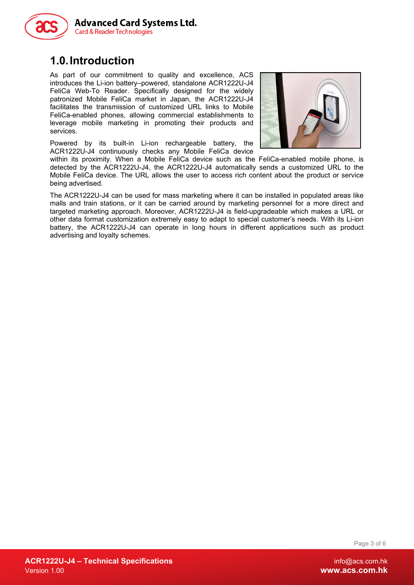

#### <span id="page-2-0"></span>**1.0.Introduction**

As part of our commitment to quality and excellence, ACS introduces the Li-ion battery–powered, standalone ACR1222U-J4 FeliCa Web-To Reader. Specifically designed for the widely patronized Mobile FeliCa market in Japan, the ACR1222U-J4 facilitates the transmission of customized URL links to Mobile FeliCa-enabled phones, allowing commercial establishments to leverage mobile marketing in promoting their products and services.

Powered by its built-in Li-ion rechargeable battery, the ACR1222U-J4 continuously checks any Mobile FeliCa device



within its proximity. When a Mobile FeliCa device such as the FeliCa-enabled mobile phone, is detected by the ACR1222U-J4, the ACR1222U-J4 automatically sends a customized URL to the Mobile FeliCa device. The URL allows the user to access rich content about the product or service being advertised.

The ACR1222U-J4 can be used for mass marketing where it can be installed in populated areas like malls and train stations, or it can be carried around by marketing personnel for a more direct and targeted marketing approach. Moreover, ACR1222U-J4 is field-upgradeable which makes a URL or other data format customization extremely easy to adapt to special customer's needs. With its Li-ion battery, the ACR1222U-J4 can operate in long hours in different applications such as product advertising and loyalty schemes.

Page 3 of 6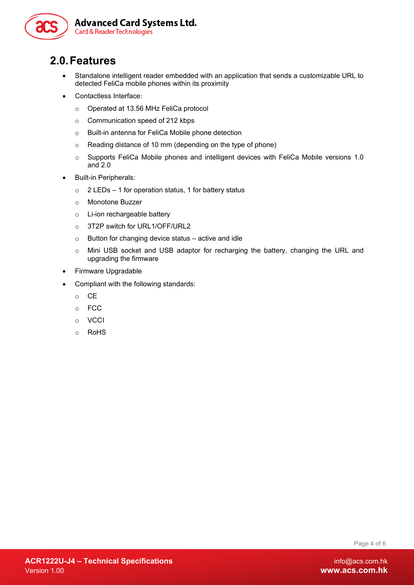

#### <span id="page-3-0"></span>**2.0.Features**

- Standalone intelligent reader embedded with an application that sends a customizable URL to detected FeliCa mobile phones within its proximity
- Contactless Interface:
	- o Operated at 13.56 MHz FeliCa protocol
	- o Communication speed of 212 kbps
	- o Built-in antenna for FeliCa Mobile phone detection
	- o Reading distance of 10 mm (depending on the type of phone)
	- o Supports FeliCa Mobile phones and intelligent devices with FeliCa Mobile versions 1.0 and 2.0
- Built-in Peripherals:
	- $\circ$  2 LEDs 1 for operation status, 1 for battery status
	- o Monotone Buzzer
	- o Li-ion rechargeable battery
	- o 3T2P switch for URL1/OFF/URL2
	- o Button for changing device status active and idle
	- o Mini USB socket and USB adaptor for recharging the battery, changing the URL and upgrading the firmware
- Firmware Upgradable
- Compliant with the following standards:
	- o CE
	- o FCC
	- o VCCI
	- o RoHS

Page 4 of 6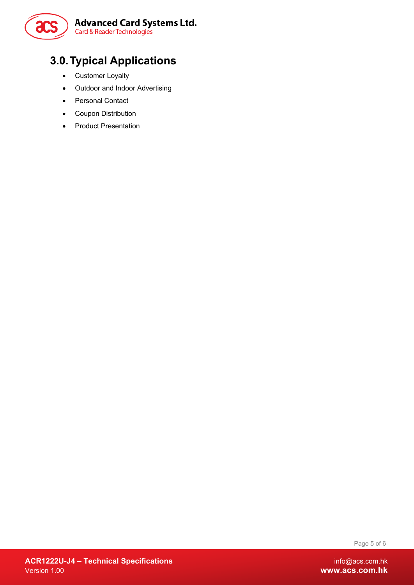

# <span id="page-4-0"></span>**3.0.Typical Applications**

- Customer Loyalty
- Outdoor and Indoor Advertising
- Personal Contact
- Coupon Distribution
- Product Presentation

Page 5 of 6